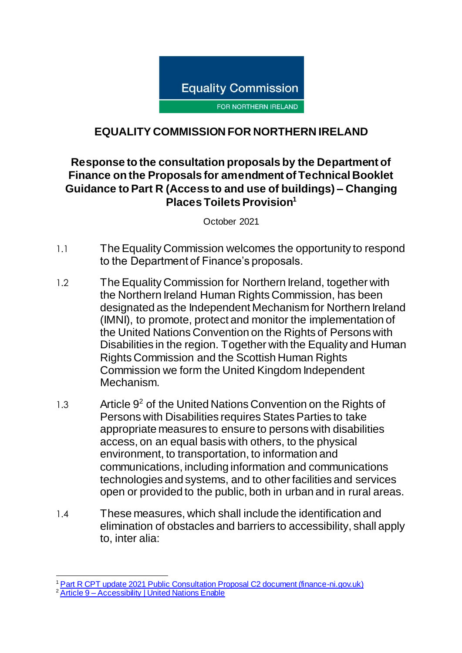

## **EQUALITY COMMISSION FOR NORTHERN IRELAND**

## **Response to the consultation proposals by the Department of Finance on the Proposals for amendment of Technical Booklet Guidance to Part R (Access to and use of buildings) – Changing Places Toilets Provision<sup>1</sup>**

October 2021

- 1.1 The Equality Commission welcomes the opportunity to respond to the Department of Finance's proposals.
- 1.2 TheEquality Commission for Northern Ireland, together with the Northern Ireland Human Rights Commission, has been designated as the Independent Mechanism for Northern Ireland (IMNI), to promote, protect and monitor the implementation of the United Nations Convention on the Rights of Persons with Disabilities in the region. Together with the Equality and Human Rights Commission and the Scottish Human Rights Commission we form the United Kingdom Independent Mechanism.
- $1.3$  Article  $9<sup>2</sup>$  of the United Nations Convention on the Rights of Persons with Disabilities requires States Parties to take appropriate measures to ensure to persons with disabilities access, on an equal basis with others, to the physical environment, to transportation, to information and communications, including information and communications technologies and systems, and to other facilities and services open or provided to the public, both in urban and in rural areas.
- 1.4 These measures, which shall include the identification and elimination of obstacles and barriers to accessibility, shall apply to, inter alia:

 $\overline{a}$ <sup>1</sup> [Part R CPT update 2021 Public Consultation Proposal C2 document \(finance-ni.gov.uk\)](https://www.finance-ni.gov.uk/sites/default/files/consultations/dfp/Consultation%20Document%20C2.pdf)

<sup>&</sup>lt;sup>2</sup> Article 9 – [Accessibility | United Nations Enable](https://www.un.org/development/desa/disabilities/convention-on-the-rights-of-persons-with-disabilities/article-9-accessibility.html)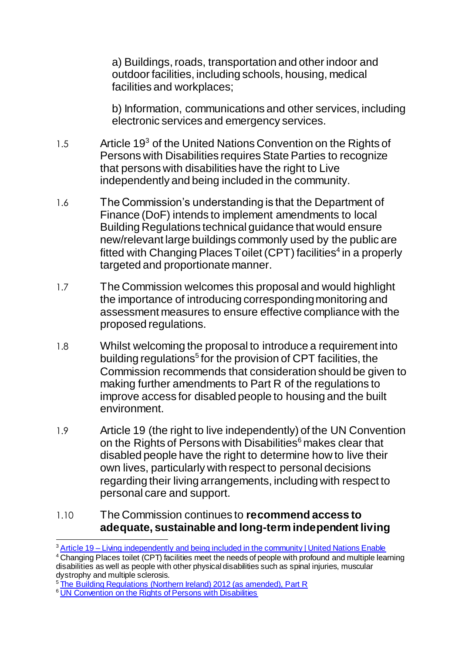a) Buildings, roads, transportation and other indoor and outdoor facilities, including schools, housing, medical facilities and workplaces;

b) Information, communications and other services, including electronic services and emergency services.

- $1.5$  Article 19<sup>3</sup> of the United Nations Convention on the Rights of Persons with Disabilities requires State Parties to recognize that persons with disabilities have the right to Live independently and being included in the community.
- 1.6 The Commission's understanding is that the Department of Finance (DoF) intends to implement amendments to local Building Regulations technical guidance that would ensure new/relevant large buildings commonly used by the public are fitted with Changing Places Toilet (CPT) facilities<sup>4</sup> in a properly targeted and proportionate manner.
- 1.7 The Commission welcomes this proposal and would highlight the importance of introducing corresponding monitoring and assessment measures to ensure effective compliance with the proposed regulations.
- 1.8 Whilst welcoming the proposal to introduce a requirement into building regulations<sup>5</sup> for the provision of CPT facilities, the Commission recommends that consideration should be given to making further amendments to Part R of the regulations to improve access for disabled people to housing and the built environment.
- 1.9 Article 19 (the right to live independently) of the UN Convention on the Rights of Persons with Disabilities<sup>6</sup> makes clear that disabled people have the right to determine how to live their own lives, particularly with respect to personal decisions regarding their living arrangements, including with respect to personal care and support.

## 1.10 The Commission continues to **recommend access to adequate, sustainable and long-term independent living**

 $\overline{a}$ <sup>3</sup> Article 19 – [Living independently and being included in the community | United Nations Enable](https://www.un.org/development/desa/disabilities/convention-on-the-rights-of-persons-with-disabilities/article-19-living-independently-and-being-included-in-the-community.html)

<sup>4</sup> Changing Places toilet (CPT) facilities meet the needs of people with profound and multiple learning disabilities as well as people with other physical disabilities such as spinal injuries, muscular dystrophy and multiple sclerosis.

<sup>&</sup>lt;sup>5</sup> [The Building Regulations \(Northern Ireland\) 2012 \(as amended\), Part R](https://www.legislation.gov.uk/nisr/2012/192/contents/made)

<sup>&</sup>lt;sup>6</sup> [UN Convention on the Rights of Persons with Disabilities](http://www.equalityni.org/ECNI/media/ECNI/Publications/Delivering%20Equality/UNCRPDOptionalProtocol.pdf)